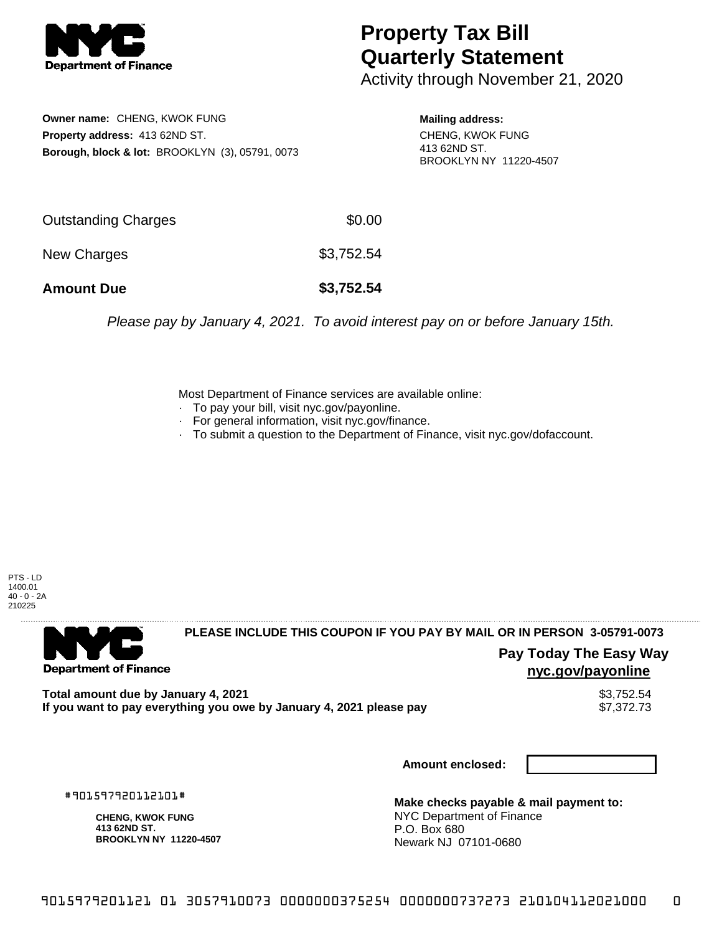

## **Property Tax Bill Quarterly Statement**

Activity through November 21, 2020

**Owner name:** CHENG, KWOK FUNG **Property address:** 413 62ND ST. **Borough, block & lot:** BROOKLYN (3), 05791, 0073

**Mailing address:** CHENG, KWOK FUNG 413 62ND ST. BROOKLYN NY 11220-4507

| <b>Amount Due</b>   | \$3,752.54 |
|---------------------|------------|
| New Charges         | \$3,752.54 |
| Outstanding Charges | \$0.00     |

Please pay by January 4, 2021. To avoid interest pay on or before January 15th.

Most Department of Finance services are available online:

- · To pay your bill, visit nyc.gov/payonline.
- For general information, visit nyc.gov/finance.
- · To submit a question to the Department of Finance, visit nyc.gov/dofaccount.

PTS - LD 1400.01 40 - 0 - 2A 210225



**PLEASE INCLUDE THIS COUPON IF YOU PAY BY MAIL OR IN PERSON 3-05791-0073** 

**Pay Today The Easy Way nyc.gov/payonline**

Total amount due by January 4, 2021<br>If you want to pay everything you owe by January 4, 2021 please pay **ship in the same of the set of the s**7,372.73 If you want to pay everything you owe by January 4, 2021 please pay

**Amount enclosed:**

#901597920112101#

**CHENG, KWOK FUNG 413 62ND ST. BROOKLYN NY 11220-4507**

**Make checks payable & mail payment to:** NYC Department of Finance P.O. Box 680 Newark NJ 07101-0680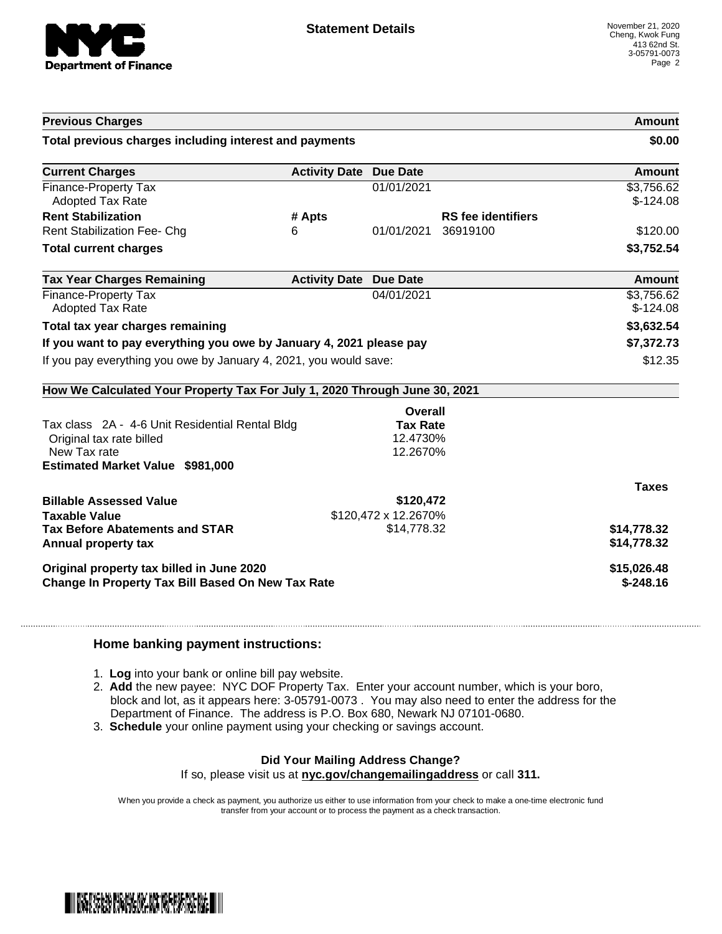

| <b>Previous Charges</b>                                                    |                               |                      |                           | Amount                   |
|----------------------------------------------------------------------------|-------------------------------|----------------------|---------------------------|--------------------------|
| Total previous charges including interest and payments                     |                               |                      |                           | \$0.00                   |
| <b>Current Charges</b>                                                     | <b>Activity Date Due Date</b> |                      |                           | <b>Amount</b>            |
| <b>Finance-Property Tax</b><br><b>Adopted Tax Rate</b>                     |                               | 01/01/2021           |                           | \$3,756.62<br>$$-124.08$ |
| <b>Rent Stabilization</b>                                                  | # Apts                        |                      | <b>RS</b> fee identifiers |                          |
| <b>Rent Stabilization Fee- Chg</b>                                         | 6                             | 01/01/2021           | 36919100                  | \$120.00                 |
| <b>Total current charges</b>                                               |                               |                      |                           | \$3,752.54               |
| <b>Tax Year Charges Remaining</b>                                          | <b>Activity Date Due Date</b> |                      |                           | Amount                   |
| <b>Finance-Property Tax</b><br><b>Adopted Tax Rate</b>                     |                               | 04/01/2021           |                           | \$3,756.62<br>$$-124.08$ |
| Total tax year charges remaining                                           |                               |                      |                           | \$3,632.54               |
| If you want to pay everything you owe by January 4, 2021 please pay        |                               |                      |                           | \$7,372.73               |
| If you pay everything you owe by January 4, 2021, you would save:          |                               |                      |                           | \$12.35                  |
| How We Calculated Your Property Tax For July 1, 2020 Through June 30, 2021 |                               |                      |                           |                          |
| <b>Overall</b>                                                             |                               |                      |                           |                          |
|                                                                            |                               |                      |                           |                          |
| Tax class 2A - 4-6 Unit Residential Rental Bldg                            |                               | <b>Tax Rate</b>      |                           |                          |
| Original tax rate billed                                                   |                               | 12.4730%             |                           |                          |
| New Tax rate                                                               |                               | 12.2670%             |                           |                          |
| <b>Estimated Market Value \$981,000</b>                                    |                               |                      |                           |                          |
|                                                                            |                               |                      |                           | <b>Taxes</b>             |
| <b>Billable Assessed Value</b>                                             |                               | \$120,472            |                           |                          |
| <b>Taxable Value</b>                                                       |                               | \$120,472 x 12.2670% |                           |                          |
| <b>Tax Before Abatements and STAR</b>                                      |                               | \$14,778.32          |                           | \$14,778.32              |
| Annual property tax                                                        |                               |                      |                           | \$14,778.32              |
| Original property tax billed in June 2020                                  |                               |                      |                           | \$15,026.48              |

## **Home banking payment instructions:**

- 1. **Log** into your bank or online bill pay website.
- 2. **Add** the new payee: NYC DOF Property Tax. Enter your account number, which is your boro, block and lot, as it appears here: 3-05791-0073 . You may also need to enter the address for the Department of Finance. The address is P.O. Box 680, Newark NJ 07101-0680.
- 3. **Schedule** your online payment using your checking or savings account.

## **Did Your Mailing Address Change?**

If so, please visit us at **nyc.gov/changemailingaddress** or call **311.**

When you provide a check as payment, you authorize us either to use information from your check to make a one-time electronic fund transfer from your account or to process the payment as a check transaction.